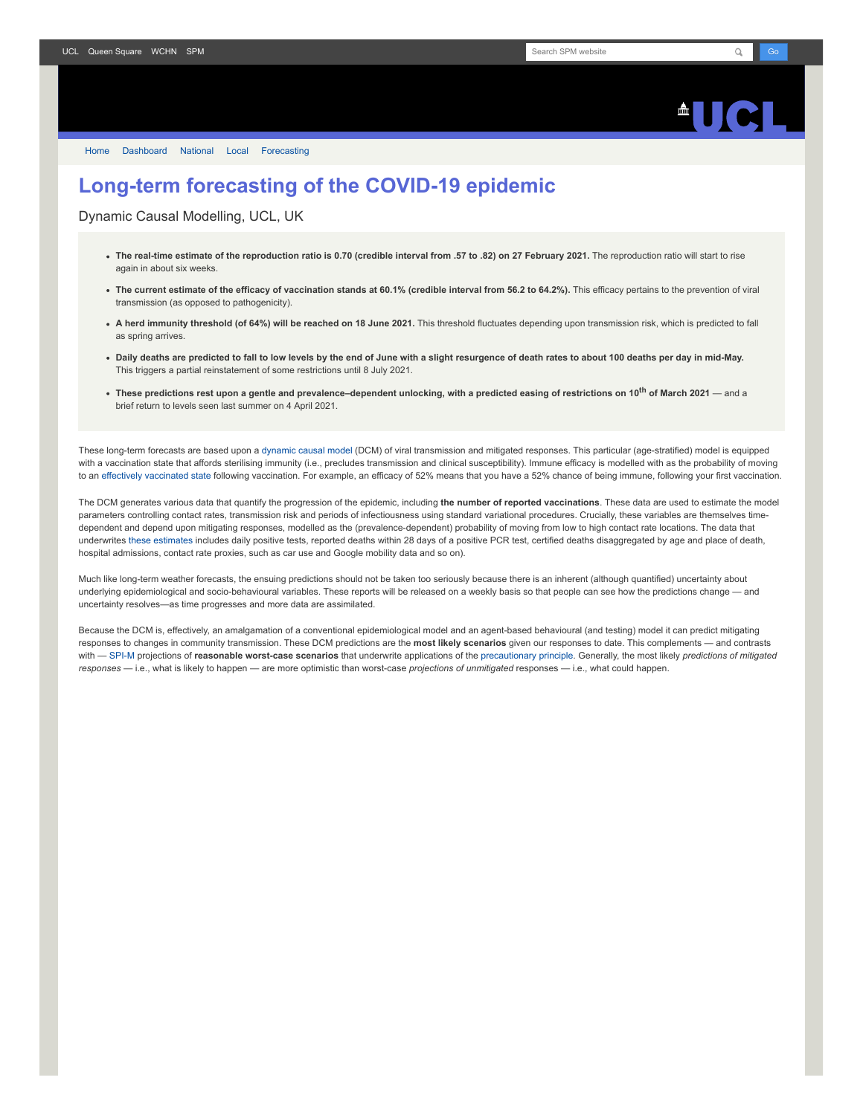

[Home](https://www.fil.ion.ucl.ac.uk/spm/covid-19/) [Dashboard](https://www.fil.ion.ucl.ac.uk/spm/covid-19/dashboard/) [National](https://www.fil.ion.ucl.ac.uk/spm/covid-19/dashboard/) [Local](https://www.fil.ion.ucl.ac.uk/spm/covid-19/dashboard/local/) [Forecasting](https://www.fil.ion.ucl.ac.uk/spm/covid-19/forecasting/)

## **Long-term forecasting of the COVID-19 epidemic**

Dynamic Causal Modelling, UCL, UK

- **The real-time estimate of the reproduction ratio is 0.70 (credible interval from .57 to .82) on 27 February 2021.** The reproduction ratio will start to rise again in about six weeks.
- The current estimate of the efficacy of vaccination stands at 60.1% (credible interval from 56.2 to 64.2%). This efficacy pertains to the prevention of viral transmission (as opposed to pathogenicity).
- **A herd immunity threshold (of 64%) will be reached on 18 June 2021.** This threshold fluctuates depending upon transmission risk, which is predicted to fall as spring arrives.
- **Daily deaths are predicted to fall to low levels by the end of June with a slight resurgence of death rates to about 100 deaths per day in mid-May.** This triggers a partial reinstatement of some restrictions until 8 July 2021.
- **These predictions rest upon a gentle and prevalence–dependent unlocking, with a predicted easing of restrictions on 10th of March 2021** and a brief return to levels seen last summer on 4 April 2021.

These long-term forecasts are based upon a [dynamic causal model](https://www.fil.ion.ucl.ac.uk/spm/covid-19) (DCM) of viral transmission and mitigated responses. This particular (age-stratified) model is equipped with a vaccination state that affords sterilising immunity (i.e., precludes transmission and clinical susceptibility). Immune efficacy is modelled with as the probability of moving to an [effectively vaccinated state](https://www.medrxiv.org/content/10.1101/2021.01.10.21249520v1) following vaccination. For example, an efficacy of 52% means that you have a 52% chance of being immune, following your first vaccination.

The DCM generates various data that quantify the progression of the epidemic, including **the number of reported vaccinations**. These data are used to estimate the model parameters controlling contact rates, transmission risk and periods of infectiousness using standard variational procedures. Crucially, these variables are themselves timedependent and depend upon mitigating responses, modelled as the (prevalence-dependent) probability of moving from low to high contact rate locations. The data that underwrites [these estimates](https://www.fil.ion.ucl.ac.uk/spm/covid-19/dashboard/) includes daily positive tests, reported deaths within 28 days of a positive PCR test, certified deaths disaggregated by age and place of death, hospital admissions, contact rate proxies, such as car use and Google mobility data and so on).

Much like long-term weather forecasts, the ensuing predictions should not be taken too seriously because there is an inherent (although quantified) uncertainty about underlying epidemiological and socio-behavioural variables. These reports will be released on a weekly basis so that people can see how the predictions change — and uncertainty resolves—as time progresses and more data are assimilated.

Because the DCM is, effectively, an amalgamation of a conventional epidemiological model and an agent-based behavioural (and testing) model it can predict mitigating responses to changes in community transmission. These DCM predictions are the **most likely scenarios** given our responses to date. This complements — and contrasts with — [SPI-M](https://www.gov.uk/government/groups/scientific-pandemic-influenza-subgroup-on-modelling) projections of **reasonable worst-case scenarios** that underwrite applications of the [precautionary principle.](https://en.wikipedia.org/wiki/Precautionary_principle) Generally, the most likely *predictions of mitigated responses* — i.e., what is likely to happen — are more optimistic than worst-case *projections of unmitigated* responses — i.e., what could happen.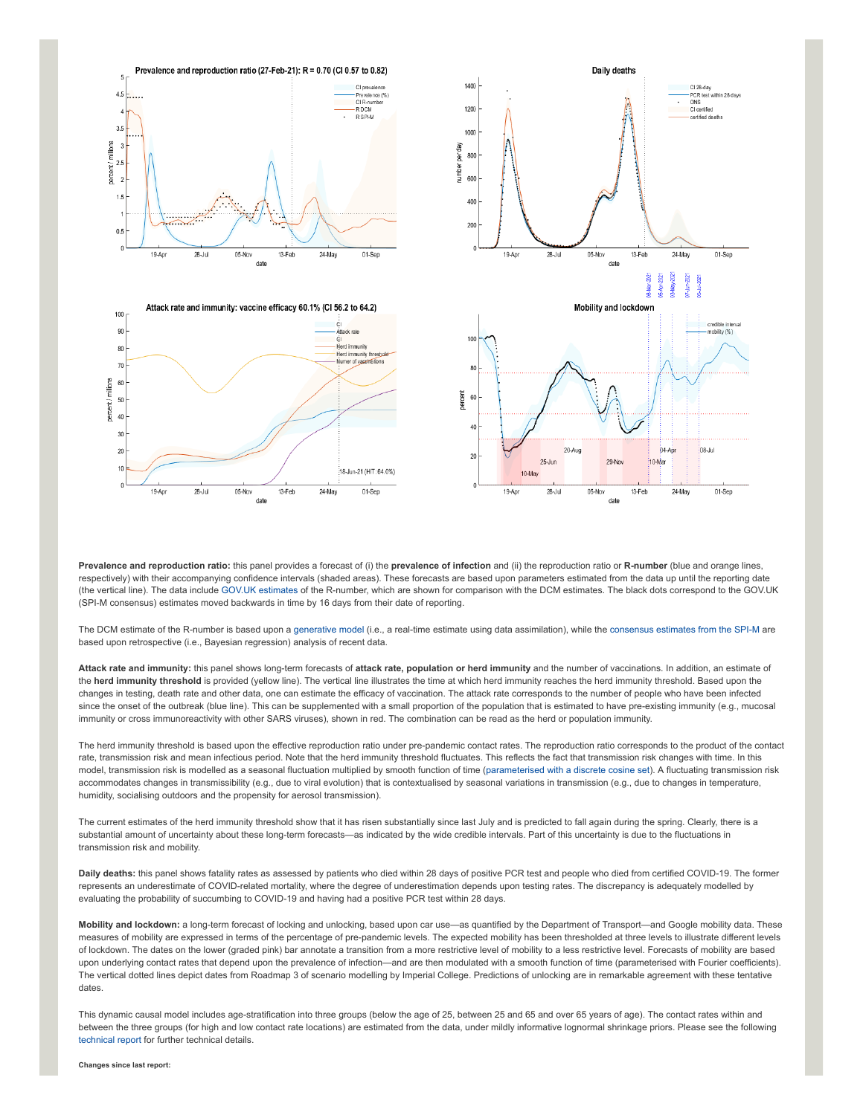

01-Sep

01-Sep

**Prevalence and reproduction ratio:** this panel provides a forecast of (i) the **prevalence of infection** and (ii) the reproduction ratio or **R-number** (blue and orange lines, respectively) with their accompanying confidence intervals (shaded areas). These forecasts are based upon parameters estimated from the data up until the reporting date (the vertical line). The data include [GOV.UK estimates](https://www.gov.uk/guidance/the-r-number-in-the-uk#latest-r-and-growth-rate) of the R-number, which are shown for comparison with the DCM estimates. The black dots correspond to the GOV.UK (SPI-M consensus) estimates moved backwards in time by 16 days from their date of reporting.

The DCM estimate of the R-number is based upon a [generative model](https://en.wikipedia.org/wiki/Generative_model) (i.e., a real-time estimate using data assimilation), while the [consensus estimates from the SPI-M](https://www.gov.uk/guidance/the-r-number-in-the-uk#contents) are based upon retrospective (i.e., Bayesian regression) analysis of recent data.

**Attack rate and immunity:** this panel shows long-term forecasts of **attack rate, population or herd immunity** and the number of vaccinations. In addition, an estimate of the **herd immunity threshold** is provided (yellow line). The vertical line illustrates the time at which herd immunity reaches the herd immunity threshold. Based upon the changes in testing, death rate and other data, one can estimate the efficacy of vaccination. The attack rate corresponds to the number of people who have been infected since the onset of the outbreak (blue line). This can be supplemented with a small proportion of the population that is estimated to have pre-existing immunity (e.g., mucosal immunity or cross immunoreactivity with other SARS viruses), shown in red. The combination can be read as the herd or population immunity.

The herd immunity threshold is based upon the effective reproduction ratio under pre-pandemic contact rates. The reproduction ratio corresponds to the product of the contact rate, transmission risk and mean infectious period. Note that the herd immunity threshold fluctuates. This reflects the fact that transmission risk changes with time. In this model, transmission risk is modelled as a seasonal fluctuation multiplied by smooth function of time ([parameterised with a discrete cosine set](https://www.medrxiv.org/content/10.1101/2021.01.10.21249520v1)). A fluctuating transmission risk accommodates changes in transmissibility (e.g., due to viral evolution) that is contextualised by seasonal variations in transmission (e.g., due to changes in temperature, humidity, socialising outdoors and the propensity for aerosol transmission).

The current estimates of the herd immunity threshold show that it has risen substantially since last July and is predicted to fall again during the spring. Clearly, there is a substantial amount of uncertainty about these long-term forecasts—as indicated by the wide credible intervals. Part of this uncertainty is due to the fluctuations in transmission risk and mobility.

**Daily deaths:** this panel shows fatality rates as assessed by patients who died within 28 days of positive PCR test and people who died from certified COVID-19. The former represents an underestimate of COVID-related mortality, where the degree of underestimation depends upon testing rates. The discrepancy is adequately modelled by evaluating the probability of succumbing to COVID-19 and having had a positive PCR test within 28 days.

**Mobility and lockdown:** a long-term forecast of locking and unlocking, based upon car use—as quantified by the Department of Transport—and Google mobility data. These measures of mobility are expressed in terms of the percentage of pre-pandemic levels. The expected mobility has been thresholded at three levels to illustrate different levels of lockdown. The dates on the lower (graded pink) bar annotate a transition from a more restrictive level of mobility to a less restrictive level. Forecasts of mobility are based upon underlying contact rates that depend upon the prevalence of infection—and are then modulated with a smooth function of time (parameterised with Fourier coefficients). The vertical dotted lines depict dates from Roadmap 3 of scenario modelling by Imperial College. Predictions of unlocking are in remarkable agreement with these tentative dates.

This dynamic causal model includes age-stratification into three groups (below the age of 25, between 25 and 65 and over 65 years of age). The contact rates within and between the three groups (for high and low contact rate locations) are estimated from the data, under mildly informative lognormal shrinkage priors. Please see the following [technical report](https://arxiv.org/abs/2011.12400) for further technical details.